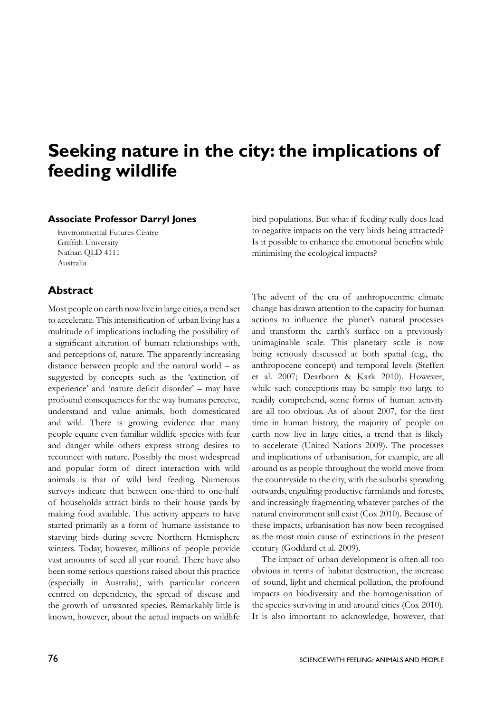## **Seeking nature in the city: the implications of feeding wildlife**

## **Associate Professor Darryl Jones**

Environmental Futures Centre Griffith University Nathan QLD 4111 Australia

## **Abstract**

Most people on earth now live in large cities, a trend set to accelerate. This intensification of urban living has a multitude of implications including the possibility of a significant alteration of human relationships with, and perceptions of, nature. The apparently increasing distance between people and the natural world – as suggested by concepts such as the 'extinction of experience' and 'nature deficit disorder' – may have profound consequences for the way humans perceive, understand and value animals, both domesticated and wild. There is growing evidence that many people equate even familiar wildlife species with fear and danger while others express strong desires to reconnect with nature. Possibly the most widespread and popular form of direct interaction with wild animals is that of wild bird feeding. Numerous surveys indicate that between one-third to one-half of households attract birds to their house yards by making food available. This activity appears to have started primarily as a form of humane assistance to starving birds during severe Northern Hemisphere winters. Today, however, millions of people provide vast amounts of seed all year round. There have also been some serious questions raised about this practice (especially in Australia), with particular concern centred on dependency, the spread of disease and the growth of unwanted species. Remarkably little is known, however, about the actual impacts on wildlife

bird populations. But what if feeding really does lead to negative impacts on the very birds being attracted? Is it possible to enhance the emotional benefits while minimising the ecological impacts?

The advent of the era of anthropocentric climate change has drawn attention to the capacity for human actions to influence the planet's natural processes and transform the earth's surface on a previously unimaginable scale. This planetary scale is now being seriously discussed at both spatial (e.g., the anthropocene concept) and temporal levels (Steffen et al. 2007; Dearborn & Kark 2010). However, while such conceptions may be simply too large to readily comprehend, some forms of human activity are all too obvious. As of about 2007, for the first time in human history, the majority of people on earth now live in large cities, a trend that is likely to accelerate (United Nations 2009). The processes and implications of urbanisation, for example, are all around us as people throughout the world move from the countryside to the city, with the suburbs sprawling outwards, engulfing productive farmlands and forests, and increasingly fragmenting whatever patches of the natural environment still exist (Cox 2010). Because of these impacts, urbanisation has now been recognised as the most main cause of extinctions in the present century (Goddard et al. 2009).

The impact of urban development is often all too obvious in terms of habitat destruction, the increase of sound, light and chemical pollution, the profound impacts on biodiversity and the homogenisation of the species surviving in and around cities (Cox 2010). It is also important to acknowledge, however, that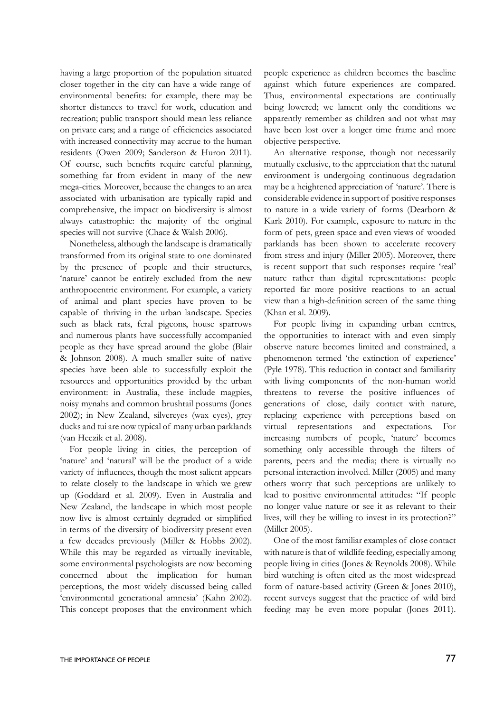having a large proportion of the population situated closer together in the city can have a wide range of environmental benefits: for example, there may be shorter distances to travel for work, education and recreation; public transport should mean less reliance on private cars; and a range of efficiencies associated with increased connectivity may accrue to the human residents (Owen 2009; Sanderson & Huron 2011). Of course, such benefits require careful planning, something far from evident in many of the new mega-cities. Moreover, because the changes to an area associated with urbanisation are typically rapid and comprehensive, the impact on biodiversity is almost always catastrophic: the majority of the original species will not survive (Chace & Walsh 2006).

Nonetheless, although the landscape is dramatically transformed from its original state to one dominated by the presence of people and their structures, 'nature' cannot be entirely excluded from the new anthropocentric environment. For example, a variety of animal and plant species have proven to be capable of thriving in the urban landscape. Species such as black rats, feral pigeons, house sparrows and numerous plants have successfully accompanied people as they have spread around the globe (Blair & Johnson 2008). A much smaller suite of native species have been able to successfully exploit the resources and opportunities provided by the urban environment: in Australia, these include magpies, noisy mynahs and common brushtail possums (Jones 2002); in New Zealand, silvereyes (wax eyes), grey ducks and tui are now typical of many urban parklands (van Heezik et al. 2008).

For people living in cities, the perception of 'nature' and 'natural' will be the product of a wide variety of influences, though the most salient appears to relate closely to the landscape in which we grew up (Goddard et al. 2009). Even in Australia and New Zealand, the landscape in which most people now live is almost certainly degraded or simplified in terms of the diversity of biodiversity present even a few decades previously (Miller & Hobbs 2002). While this may be regarded as virtually inevitable, some environmental psychologists are now becoming concerned about the implication for human perceptions, the most widely discussed being called 'environmental generational amnesia' (Kahn 2002). This concept proposes that the environment which people experience as children becomes the baseline against which future experiences are compared. Thus, environmental expectations are continually being lowered; we lament only the conditions we apparently remember as children and not what may have been lost over a longer time frame and more objective perspective.

An alternative response, though not necessarily mutually exclusive, to the appreciation that the natural environment is undergoing continuous degradation may be a heightened appreciation of 'nature'. There is considerable evidence in support of positive responses to nature in a wide variety of forms (Dearborn & Kark 2010). For example, exposure to nature in the form of pets, green space and even views of wooded parklands has been shown to accelerate recovery from stress and injury (Miller 2005). Moreover, there is recent support that such responses require 'real' nature rather than digital representations: people reported far more positive reactions to an actual view than a high-definition screen of the same thing (Khan et al. 2009).

For people living in expanding urban centres, the opportunities to interact with and even simply observe nature becomes limited and constrained, a phenomenon termed 'the extinction of experience' (Pyle 1978). This reduction in contact and familiarity with living components of the non-human world threatens to reverse the positive influences of generations of close, daily contact with nature, replacing experience with perceptions based on virtual representations and expectations. For increasing numbers of people, 'nature' becomes something only accessible through the filters of parents, peers and the media; there is virtually no personal interaction involved. Miller (2005) and many others worry that such perceptions are unlikely to lead to positive environmental attitudes: "If people no longer value nature or see it as relevant to their lives, will they be willing to invest in its protection?" (Miller 2005).

One of the most familiar examples of close contact with nature is that of wildlife feeding, especially among people living in cities (Jones & Reynolds 2008). While bird watching is often cited as the most widespread form of nature-based activity (Green & Jones 2010), recent surveys suggest that the practice of wild bird feeding may be even more popular (Jones 2011).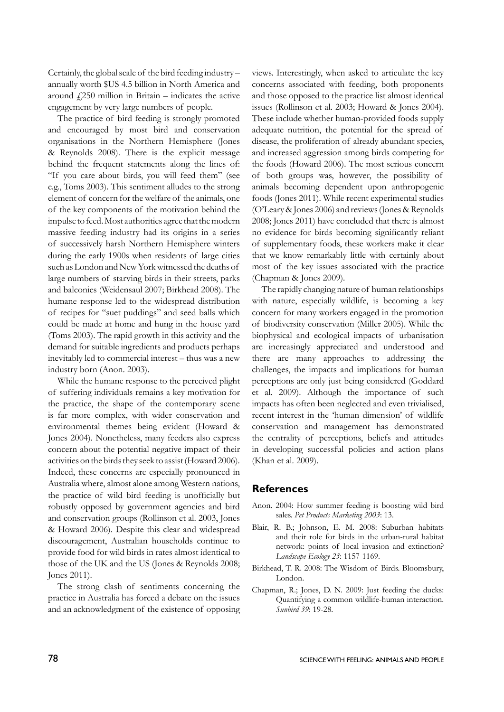Certainly, the global scale of the bird feeding industry – annually worth \$US 4.5 billion in North America and around  $\angle$  250 million in Britain – indicates the active engagement by very large numbers of people.

The practice of bird feeding is strongly promoted and encouraged by most bird and conservation organisations in the Northern Hemisphere (Jones & Reynolds 2008). There is the explicit message behind the frequent statements along the lines of: "If you care about birds, you will feed them" (see e.g., Toms 2003). This sentiment alludes to the strong element of concern for the welfare of the animals, one of the key components of the motivation behind the impulse to feed. Most authorities agree that the modern massive feeding industry had its origins in a series of successively harsh Northern Hemisphere winters during the early 1900s when residents of large cities such as London and New York witnessed the deaths of large numbers of starving birds in their streets, parks and balconies (Weidensaul 2007; Birkhead 2008). The humane response led to the widespread distribution of recipes for "suet puddings" and seed balls which could be made at home and hung in the house yard (Toms 2003). The rapid growth in this activity and the demand for suitable ingredients and products perhaps inevitably led to commercial interest – thus was a new industry born (Anon. 2003).

While the humane response to the perceived plight of suffering individuals remains a key motivation for the practice, the shape of the contemporary scene is far more complex, with wider conservation and environmental themes being evident (Howard & Jones 2004). Nonetheless, many feeders also express concern about the potential negative impact of their activities on the birds they seek to assist (Howard 2006). Indeed, these concerns are especially pronounced in Australia where, almost alone among Western nations, the practice of wild bird feeding is unofficially but robustly opposed by government agencies and bird and conservation groups (Rollinson et al. 2003, Jones & Howard 2006). Despite this clear and widespread discouragement, Australian households continue to provide food for wild birds in rates almost identical to those of the UK and the US (Jones & Reynolds 2008; Jones 2011).

The strong clash of sentiments concerning the practice in Australia has forced a debate on the issues and an acknowledgment of the existence of opposing

views. Interestingly, when asked to articulate the key concerns associated with feeding, both proponents and those opposed to the practice list almost identical issues (Rollinson et al. 2003; Howard & Jones 2004). These include whether human-provided foods supply adequate nutrition, the potential for the spread of disease, the proliferation of already abundant species, and increased aggression among birds competing for the foods (Howard 2006). The most serious concern of both groups was, however, the possibility of animals becoming dependent upon anthropogenic foods (Jones 2011). While recent experimental studies (O'Leary & Jones 2006) and reviews (Jones & Reynolds 2008; Jones 2011) have concluded that there is almost no evidence for birds becoming significantly reliant of supplementary foods, these workers make it clear that we know remarkably little with certainly about most of the key issues associated with the practice (Chapman & Jones 2009).

The rapidly changing nature of human relationships with nature, especially wildlife, is becoming a key concern for many workers engaged in the promotion of biodiversity conservation (Miller 2005). While the biophysical and ecological impacts of urbanisation are increasingly appreciated and understood and there are many approaches to addressing the challenges, the impacts and implications for human perceptions are only just being considered (Goddard et al. 2009). Although the importance of such impacts has often been neglected and even trivialised, recent interest in the 'human dimension' of wildlife conservation and management has demonstrated the centrality of perceptions, beliefs and attitudes in developing successful policies and action plans (Khan et al. 2009).

## **References**

- Anon. 2004: How summer feeding is boosting wild bird sales. *Pet Products Marketing 2003*: 13.
- Blair, R. B.; Johnson, E. M. 2008: Suburban habitats and their role for birds in the urban-rural habitat network: points of local invasion and extinction? *Landscape Ecology 23*: 1157-1169.
- Birkhead, T. R. 2008: The Wisdom of Birds. Bloomsbury, London.
- Chapman, R.; Jones, D. N. 2009: Just feeding the ducks: Quantifying a common wildlife-human interaction. *Sunbird 39*: 19-28.